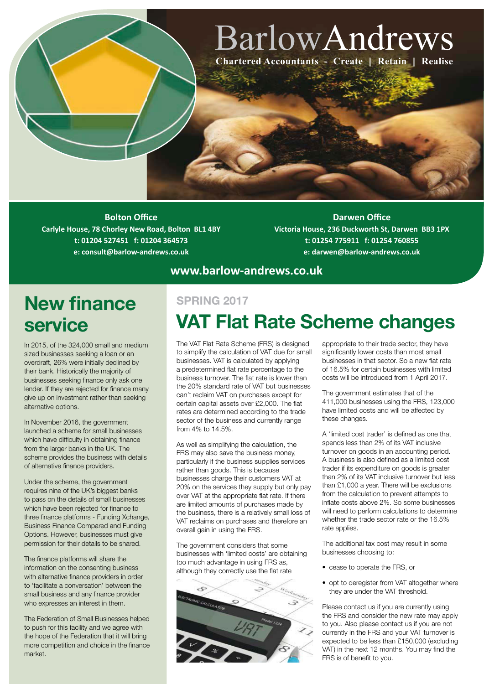# BarlowAndrews **Chartered Accountants - Create | Retain | Realise**

**Bolton Office Carlyle House, 78 Chorley New Road, Bolton BL1 4BY t: 01204 527451 f: 01204 364573 e: consult@barlow-andrews.co.uk**

**Darwen Office Victoria House, 236 Duckworth St, Darwen BB3 1PX t: 01254 775911 f: 01254 760855 e: darwen@barlow-andrews.co.uk**

#### **www.barlow-andrews.co.uk**

#### **New finance SPRING 2017 service**

In 2015, of the 324,000 small and medium sized businesses seeking a loan or an overdraft, 26% were initially declined by their bank. Historically the majority of businesses seeking finance only ask one lender. If they are rejected for finance many give up on investment rather than seeking alternative options.

In November 2016, the government launched a scheme for small businesses which have difficulty in obtaining finance from the larger banks in the UK. The scheme provides the business with details of alternative finance providers.

Under the scheme, the government requires nine of the UK's biggest banks to pass on the details of small businesses which have been rejected for finance to three finance platforms - Funding Xchange, Business Finance Compared and Funding Options. However, businesses must give permission for their details to be shared.

The finance platforms will share the information on the consenting business with alternative finance providers in order to 'facilitate a conversation' between the small business and any finance provider who expresses an interest in them.

The Federation of Small Businesses helped to push for this facility and we agree with the hope of the Federation that it will bring more competition and choice in the finance market.

# **VAT Flat Rate Scheme changes**

The VAT Flat Rate Scheme (FRS) is designed to simplify the calculation of VAT due for small businesses. VAT is calculated by applying a predetermined flat rate percentage to the business turnover. The flat rate is lower than the 20% standard rate of VAT but businesses can't reclaim VAT on purchases except for certain capital assets over £2,000. The flat rates are determined according to the trade sector of the business and currently range from 4% to 14.5%.

As well as simplifying the calculation, the FRS may also save the business money, particularly if the business supplies services rather than goods. This is because businesses charge their customers VAT at 20% on the services they supply but only pay over VAT at the appropriate flat rate. If there are limited amounts of purchases made by the business, there is a relatively small loss of VAT reclaims on purchases and therefore an overall gain in using the FRS.

The government considers that some businesses with 'limited costs' are obtaining too much advantage in using FRS as, although they correctly use the flat rate



appropriate to their trade sector, they have significantly lower costs than most small businesses in that sector. So a new flat rate of 16.5% for certain businesses with limited costs will be introduced from 1 April 2017.

The government estimates that of the 411,000 businesses using the FRS, 123,000 have limited costs and will be affected by these changes.

A 'limited cost trader' is defined as one that spends less than 2% of its VAT inclusive turnover on goods in an accounting period. A business is also defined as a limited cost trader if its expenditure on goods is greater than 2% of its VAT inclusive turnover but less than £1,000 a year. There will be exclusions from the calculation to prevent attempts to inflate costs above 2%. So some businesses will need to perform calculations to determine whether the trade sector rate or the 16.5% rate applies.

The additional tax cost may result in some businesses choosing to:

- cease to operate the FRS, or
- opt to deregister from VAT altogether where they are under the VAT threshold.

Please contact us if you are currently using the FRS and consider the new rate may apply to you. Also please contact us if you are not currently in the FRS and your VAT turnover is expected to be less than £150,000 (excluding VAT) in the next 12 months. You may find the FRS is of benefit to you.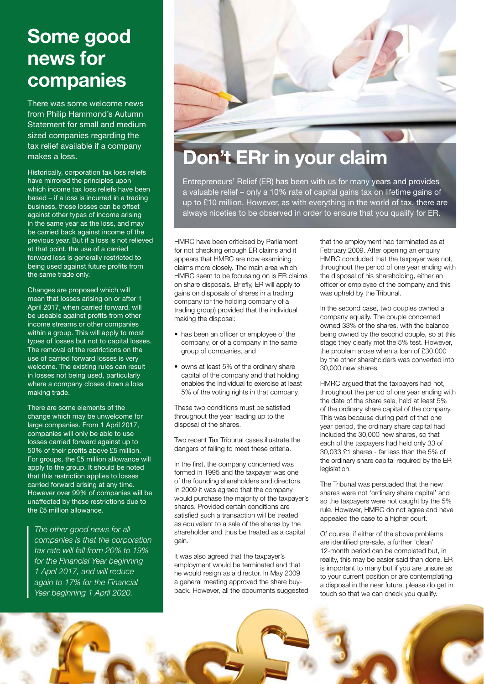## **Some good news for companies**

There was some welcome news from Philip Hammond's Autumn Statement for small and medium sized companies regarding the tax relief available if a company makes a loss.

Historically, corporation tax loss reliefs have mirrored the principles upon which income tax loss reliefs have been based – if a loss is incurred in a trading business, those losses can be offset against other types of income arising in the same year as the loss, and may be carried back against income of the previous year. But if a loss is not relieved at that point, the use of a carried forward loss is generally restricted to being used against future profits from the same trade only.

Changes are proposed which will mean that losses arising on or after 1 April 2017, when carried forward, will be useable against profits from other income streams or other companies within a group. This will apply to most types of losses but not to capital losses. The removal of the restrictions on the use of carried forward losses is very welcome. The existing rules can result in losses not being used, particularly where a company closes down a loss making trade.

There are some elements of the change which may be unwelcome for large companies. From 1 April 2017, companies will only be able to use losses carried forward against up to 50% of their profits above £5 million. For groups, the £5 million allowance will apply to the group. It should be noted that this restriction applies to losses carried forward arising at any time. However over 99% of companies will be unaffected by these restrictions due to the £5 million allowance.

*The other good news for all companies is that the corporation tax rate will fall from 20% to 19% for the Financial Year beginning 1 April 2017, and will reduce again to 17% for the Financial Year beginning 1 April 2020.*



# **Don't ERr in your claim**

Entrepreneurs' Relief (ER) has been with us for many years and provides a valuable relief – only a 10% rate of capital gains tax on lifetime gains of up to £10 million. However, as with everything in the world of tax, there are always niceties to be observed in order to ensure that you qualify for ER.

HMRC have been criticised by Parliament for not checking enough ER claims and it appears that HMRC are now examining claims more closely. The main area which HMRC seem to be focussing on is ER claims on share disposals. Briefly, ER will apply to gains on disposals of shares in a trading company (or the holding company of a trading group) provided that the individual making the disposal:

- has been an officer or employee of the company, or of a company in the same group of companies, and
- owns at least 5% of the ordinary share capital of the company and that holding enables the individual to exercise at least 5% of the voting rights in that company.

These two conditions must be satisfied throughout the year leading up to the disposal of the shares.

Two recent Tax Tribunal cases illustrate the dangers of failing to meet these criteria.

In the first, the company concerned was formed in 1995 and the taxpayer was one of the founding shareholders and directors. In 2009 it was agreed that the company would purchase the majority of the taxpayer's shares. Provided certain conditions are satisfied such a transaction will be treated as equivalent to a sale of the shares by the shareholder and thus be treated as a capital gain.

It was also agreed that the taxpayer's employment would be terminated and that he would resign as a director. In May 2009 a general meeting approved the share buyback. However, all the documents suggested

that the employment had terminated as at February 2009. After opening an enquiry HMRC concluded that the taxpayer was not, throughout the period of one year ending with the disposal of his shareholding, either an officer or employee of the company and this was upheld by the Tribunal.

In the second case, two couples owned a company equally. The couple concerned owned 33% of the shares, with the balance being owned by the second couple, so at this stage they clearly met the 5% test. However, the problem arose when a loan of £30,000 by the other shareholders was converted into 30,000 new shares.

HMRC argued that the taxpayers had not, throughout the period of one year ending with the date of the share sale, held at least 5% of the ordinary share capital of the company. This was because during part of that one year period, the ordinary share capital had included the 30,000 new shares, so that each of the taxpayers had held only 33 of 30,033 £1 shares - far less than the 5% of the ordinary share capital required by the ER legislation.

The Tribunal was persuaded that the new shares were not 'ordinary share capital' and so the taxpayers were not caught by the 5% rule. However, HMRC do not agree and have appealed the case to a higher court.

Of course, if either of the above problems are identified pre-sale, a further 'clean' 12-month period can be completed but, in reality, this may be easier said than done. ER is important to many but if you are unsure as to your current position or are contemplating a disposal in the near future, please do get in touch so that we can check you qualify.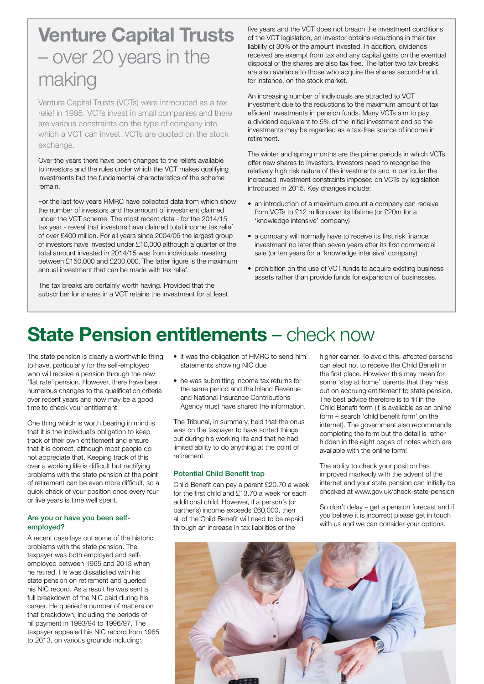# **Venture Capital Trusts** – over 20 years in the making

Venture Capital Trusts (VCTs) were introduced as a tax relief in 1995. VCTs invest in small companies and there are various constraints on the type of company into which a VCT can invest. VCTs are quoted on the stock exchange.

Over the years there have been changes to the reliefs available to investors and the rules under which the VCT makes qualifying investments but the fundamental characteristics of the scheme remain.

For the last few years HMRC have collected data from which show the number of investors and the amount of investment claimed under the VCT scheme. The most recent data - for the 2014/15 tax year - reveal that investors have claimed total income tax relief of over £400 million. For all years since 2004/05 the largest group of investors have invested under £10,000 although a quarter of the total amount invested in 2014/15 was from individuals investing between £150,000 and £200,000. The latter figure is the maximum annual investment that can be made with tax relief.

The tax breaks are certainly worth having. Provided that the subscriber for shares in a VCT retains the investment for at least five years and the VCT does not breach the investment conditions of the VCT legislation, an investor obtains reductions in their tax liability of 30% of the amount invested. In addition, dividends received are exempt from tax and any capital gains on the eventual disposal of the shares are also tax free. The latter two tax breaks are also available to those who acquire the shares second-hand, for instance, on the stock market.

An increasing number of individuals are attracted to VCT investment due to the reductions to the maximum amount of tax efficient investments in pension funds. Many VCTs aim to pay a dividend equivalent to 5% of the initial investment and so the investments may be regarded as a tax-free source of income in retirement.

The winter and spring months are the prime periods in which VCTs offer new shares to investors. Investors need to recognise the relatively high risk nature of the investments and in particular the increased investment constraints imposed on VCTs by legislation introduced in 2015. Key changes include:

- an introduction of a maximum amount a company can receive from VCTs to £12 million over its lifetime (or £20m for a 'knowledge intensive' company)
- a company will normally have to receive its first risk finance investment no later than seven years after its first commercial sale (or ten years for a 'knowledge intensive' company)
- prohibition on the use of VCT funds to acquire existing business assets rather than provide funds for expansion of businesses.

## **State Pension entitlements** – check now

The state pension is clearly a worthwhile thing to have, particularly for the self-employed who will receive a pension through the new 'flat rate' pension. However, there have been numerous changes to the qualification criteria over recent years and now may be a good time to check your entitlement.

One thing which is worth bearing in mind is that it is the individual's obligation to keep track of their own entitlement and ensure that it is correct, although most people do not appreciate that. Keeping track of this over a working life is difficult but rectifying problems with the state pension at the point of retirement can be even more difficult, so a quick check of your position once every four or five years is time well spent.

#### Are you or have you been selfemployed?

A recent case lays out some of the historic problems with the state pension. The taxpayer was both employed and selfemployed between 1965 and 2013 when he retired. He was dissatisfied with his state pension on retirement and queried his NIC record. As a result he was sent a full breakdown of the NIC paid during his career. He queried a number of matters on that breakdown, including the periods of nil payment in 1993/94 to 1996/97. The taxpayer appealed his NIC record from 1965 to 2013, on various grounds including:

- it was the obligation of HMRC to send him statements showing NIC due
- he was submitting income tax returns for the same period and the Inland Revenue and National Insurance Contributions Agency must have shared the information.

The Tribunal, in summary, held that the onus was on the taxpayer to have sorted things out during his working life and that he had limited ability to do anything at the point of retirement.

#### Potential Child Benefit trap

Child Benefit can pay a parent £20.70 a week for the first child and £13.70 a week for each additional child. However, if a person's (or partner's) income exceeds £60,000, then all of the Child Benefit will need to be repaid through an increase in tax liabilities of the

higher earner. To avoid this, affected persons can elect not to receive the Child Benefit in the first place. However this may mean for some 'stay at home' parents that they miss out on accruing entitlement to state pension. The best advice therefore is to fill in the Child Benefit form (it is available as an online form – search 'child benefit form' on the internet). The government also recommends completing the form but the detail is rather hidden in the eight pages of notes which are available with the online form!

The ability to check your position has improved markedly with the advent of the internet and your state pension can initially be checked at www.gov.uk/check-state-pension

So don't delay – get a pension forecast and if you believe it is incorrect please get in touch with us and we can consider your options.